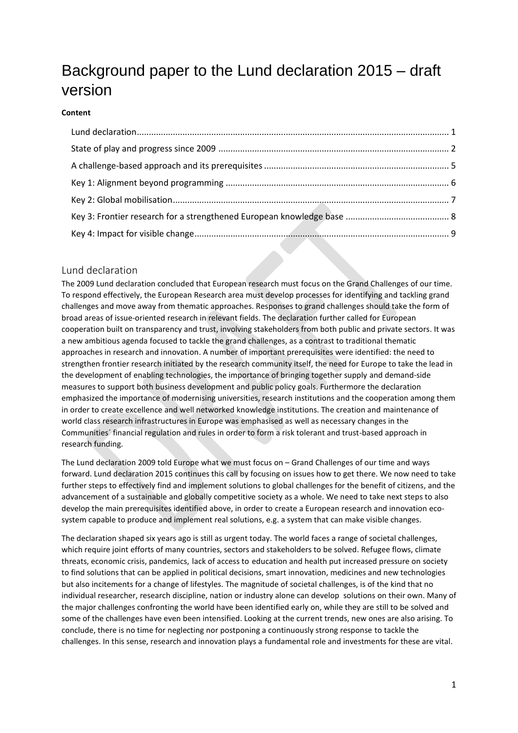# Background paper to the Lund declaration 2015 – draft version

#### **Content**

## <span id="page-0-0"></span>Lund declaration

The 2009 Lund declaration concluded that European research must focus on the Grand Challenges of our time. To respond effectively, the European Research area must develop processes for identifying and tackling grand challenges and move away from thematic approaches. Responses to grand challenges should take the form of broad areas of issue-oriented research in relevant fields. The declaration further called for European cooperation built on transparency and trust, involving stakeholders from both public and private sectors. It was a new ambitious agenda focused to tackle the grand challenges, as a contrast to traditional thematic approaches in research and innovation. A number of important prerequisites were identified: the need to strengthen frontier research initiated by the research community itself, the need for Europe to take the lead in the development of enabling technologies, the importance of bringing together supply and demand-side measures to support both business development and public policy goals. Furthermore the declaration emphasized the importance of modernising universities, research institutions and the cooperation among them in order to create excellence and well networked knowledge institutions. The creation and maintenance of world class research infrastructures in Europe was emphasised as well as necessary changes in the Communities´ financial regulation and rules in order to form a risk tolerant and trust-based approach in research funding.

The Lund declaration 2009 told Europe what we must focus on – Grand Challenges of our time and ways forward. Lund declaration 2015 continues this call by focusing on issues how to get there. We now need to take further steps to effectively find and implement solutions to global challenges for the benefit of citizens, and the advancement of a sustainable and globally competitive society as a whole. We need to take next steps to also develop the main prerequisites identified above, in order to create a European research and innovation ecosystem capable to produce and implement real solutions, e.g. a system that can make visible changes.

The declaration shaped six years ago is still as urgent today. The world faces a range of societal challenges, which require joint efforts of many countries, sectors and stakeholders to be solved. Refugee flows, climate threats, economic crisis, pandemics, lack of access to education and health put increased pressure on society to find solutions that can be applied in political decisions, smart innovation, medicines and new technologies but also incitements for a change of lifestyles. The magnitude of societal challenges, is of the kind that no individual researcher, research discipline, nation or industry alone can develop solutions on their own. Many of the major challenges confronting the world have been identified early on, while they are still to be solved and some of the challenges have even been intensified. Looking at the current trends, new ones are also arising. To conclude, there is no time for neglecting nor postponing a continuously strong response to tackle the challenges. In this sense, research and innovation plays a fundamental role and investments for these are vital.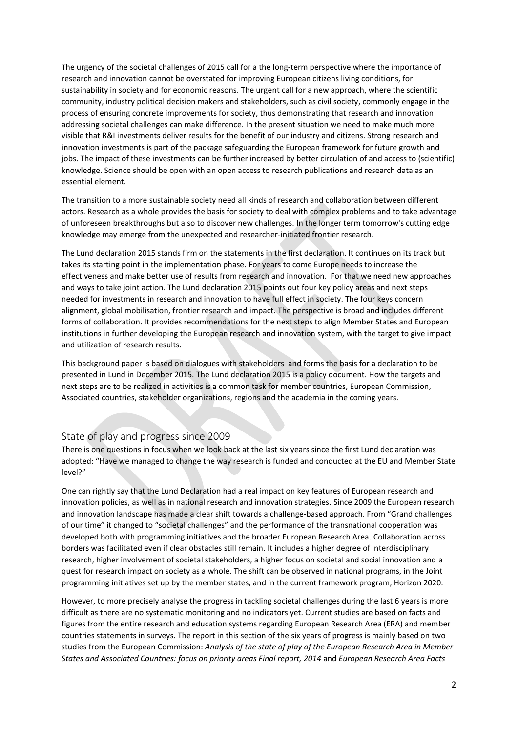The urgency of the societal challenges of 2015 call for a the long-term perspective where the importance of research and innovation cannot be overstated for improving European citizens living conditions, for sustainability in society and for economic reasons. The urgent call for a new approach, where the scientific community, industry political decision makers and stakeholders, such as civil society, commonly engage in the process of ensuring concrete improvements for society, thus demonstrating that research and innovation addressing societal challenges can make difference. In the present situation we need to make much more visible that R&I investments deliver results for the benefit of our industry and citizens. Strong research and innovation investments is part of the package safeguarding the European framework for future growth and jobs. The impact of these investments can be further increased by better circulation of and access to (scientific) knowledge. Science should be open with an open access to research publications and research data as an essential element.

The transition to a more sustainable society need all kinds of research and collaboration between different actors. Research as a whole provides the basis for society to deal with complex problems and to take advantage of unforeseen breakthroughs but also to discover new challenges. In the longer term tomorrow's cutting edge knowledge may emerge from the unexpected and researcher-initiated frontier research.

The Lund declaration 2015 stands firm on the statements in the first declaration. It continues on its track but takes its starting point in the implementation phase. For years to come Europe needs to increase the effectiveness and make better use of results from research and innovation. For that we need new approaches and ways to take joint action. The Lund declaration 2015 points out four key policy areas and next steps needed for investments in research and innovation to have full effect in society. The four keys concern alignment, global mobilisation, frontier research and impact. The perspective is broad and includes different forms of collaboration. It provides recommendations for the next steps to align Member States and European institutions in further developing the European research and innovation system, with the target to give impact and utilization of research results.

This background paper is based on dialogues with stakeholders and forms the basis for a declaration to be presented in Lund in December 2015. The Lund declaration 2015 is a policy document. How the targets and next steps are to be realized in activities is a common task for member countries, European Commission, Associated countries, stakeholder organizations, regions and the academia in the coming years.

## <span id="page-1-0"></span>State of play and progress since 2009

There is one questions in focus when we look back at the last six years since the first Lund declaration was adopted: "Have we managed to change the way research is funded and conducted at the EU and Member State level?"

One can rightly say that the Lund Declaration had a real impact on key features of European research and innovation policies, as well as in national research and innovation strategies. Since 2009 the European research and innovation landscape has made a clear shift towards a challenge-based approach. From "Grand challenges of our time" it changed to "societal challenges" and the performance of the transnational cooperation was developed both with programming initiatives and the broader European Research Area. Collaboration across borders was facilitated even if clear obstacles still remain. It includes a higher degree of interdisciplinary research, higher involvement of societal stakeholders, a higher focus on societal and social innovation and a quest for research impact on society as a whole. The shift can be observed in national programs, in the Joint programming initiatives set up by the member states, and in the current framework program, Horizon 2020.

However, to more precisely analyse the progress in tackling societal challenges during the last 6 years is more difficult as there are no systematic monitoring and no indicators yet. Current studies are based on facts and figures from the entire research and education systems regarding European Research Area (ERA) and member countries statements in surveys. The report in this section of the six years of progress is mainly based on two studies from the European Commission: *Analysis of the state of play of the European Research Area in Member States and Associated Countries: focus on priority areas Final report, 2014* and *European Research Area Facts*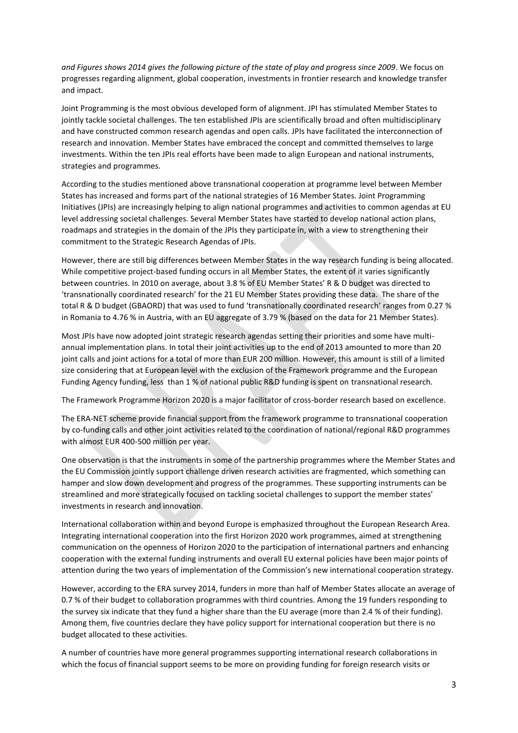*and Figures shows 2014 gives the following picture of the state of play and progress since 2009*. We focus on progresses regarding alignment, global cooperation, investments in frontier research and knowledge transfer and impact.

Joint Programming is the most obvious developed form of alignment. JPI has stimulated Member States to jointly tackle societal challenges. The ten established JPIs are scientifically broad and often multidisciplinary and have constructed common research agendas and open calls. JPIs have facilitated the interconnection of research and innovation. Member States have embraced the concept and committed themselves to large investments. Within the ten JPIs real efforts have been made to align European and national instruments, strategies and programmes.

According to the studies mentioned above transnational cooperation at programme level between Member States has increased and forms part of the national strategies of 16 Member States. Joint Programming Initiatives (JPIs) are increasingly helping to align national programmes and activities to common agendas at EU level addressing societal challenges. Several Member States have started to develop national action plans, roadmaps and strategies in the domain of the JPIs they participate in, with a view to strengthening their commitment to the Strategic Research Agendas of JPIs.

However, there are still big differences between Member States in the way research funding is being allocated. While competitive project-based funding occurs in all Member States, the extent of it varies significantly between countries. In 2010 on average, about 3.8 % of EU Member States' R & D budget was directed to 'transnationally coordinated research' for the 21 EU Member States providing these data. The share of the total R & D budget (GBAORD) that was used to fund 'transnationally coordinated research' ranges from 0.27 % in Romania to 4.76 % in Austria, with an EU aggregate of 3.79 % (based on the data for 21 Member States).

Most JPIs have now adopted joint strategic research agendas setting their priorities and some have multiannual implementation plans. In total their joint activities up to the end of 2013 amounted to more than 20 joint calls and joint actions for a total of more than EUR 200 million. However, this amount is still of a limited size considering that at European level with the exclusion of the Framework programme and the European Funding Agency funding, less than 1 % of national public R&D funding is spent on transnational research.

The Framework Programme Horizon 2020 is a major facilitator of cross-border research based on excellence.

The ERA-NET scheme provide financial support from the framework programme to transnational cooperation by co-funding calls and other joint activities related to the coordination of national/regional R&D programmes with almost EUR 400-500 million per year.

One observation is that the instruments in some of the partnership programmes where the Member States and the EU Commission jointly support challenge driven research activities are fragmented, which something can hamper and slow down development and progress of the programmes. These supporting instruments can be streamlined and more strategically focused on tackling societal challenges to support the member states' investments in research and innovation.

International collaboration within and beyond Europe is emphasized throughout the European Research Area. Integrating international cooperation into the first Horizon 2020 work programmes, aimed at strengthening communication on the openness of Horizon 2020 to the participation of international partners and enhancing cooperation with the external funding instruments and overall EU external policies have been major points of attention during the two years of implementation of the Commission's new international cooperation strategy.

However, according to the ERA survey 2014, funders in more than half of Member States allocate an average of 0.7 % of their budget to collaboration programmes with third countries. Among the 19 funders responding to the survey six indicate that they fund a higher share than the EU average (more than 2.4 % of their funding). Among them, five countries declare they have policy support for international cooperation but there is no budget allocated to these activities.

A number of countries have more general programmes supporting international research collaborations in which the focus of financial support seems to be more on providing funding for foreign research visits or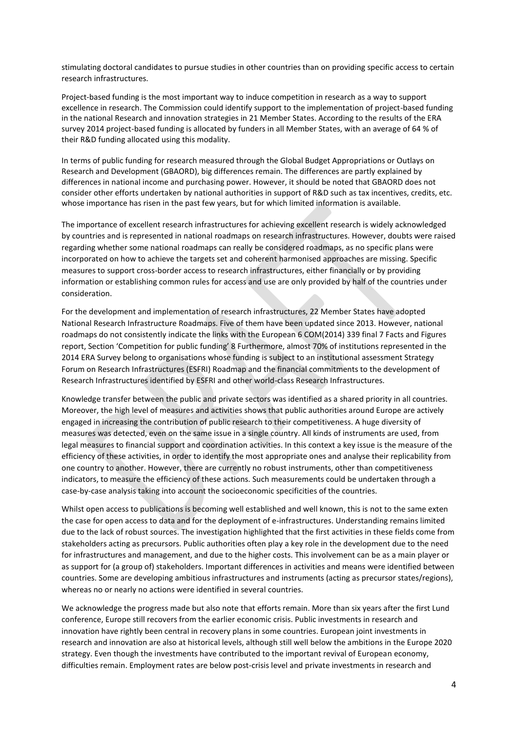stimulating doctoral candidates to pursue studies in other countries than on providing specific access to certain research infrastructures.

Project-based funding is the most important way to induce competition in research as a way to support excellence in research. The Commission could identify support to the implementation of project-based funding in the national Research and innovation strategies in 21 Member States. According to the results of the ERA survey 2014 project-based funding is allocated by funders in all Member States, with an average of 64 % of their R&D funding allocated using this modality.

In terms of public funding for research measured through the Global Budget Appropriations or Outlays on Research and Development (GBAORD), big differences remain. The differences are partly explained by differences in national income and purchasing power. However, it should be noted that GBAORD does not consider other efforts undertaken by national authorities in support of R&D such as tax incentives, credits, etc. whose importance has risen in the past few years, but for which limited information is available.

The importance of excellent research infrastructures for achieving excellent research is widely acknowledged by countries and is represented in national roadmaps on research infrastructures. However, doubts were raised regarding whether some national roadmaps can really be considered roadmaps, as no specific plans were incorporated on how to achieve the targets set and coherent harmonised approaches are missing. Specific measures to support cross-border access to research infrastructures, either financially or by providing information or establishing common rules for access and use are only provided by half of the countries under consideration.

For the development and implementation of research infrastructures, 22 Member States have adopted National Research Infrastructure Roadmaps. Five of them have been updated since 2013. However, national roadmaps do not consistently indicate the links with the European 6 COM(2014) 339 final 7 Facts and Figures report, Section 'Competition for public funding' 8 Furthermore, almost 70% of institutions represented in the 2014 ERA Survey belong to organisations whose funding is subject to an institutional assessment Strategy Forum on Research Infrastructures (ESFRI) Roadmap and the financial commitments to the development of Research Infrastructures identified by ESFRI and other world-class Research Infrastructures.

Knowledge transfer between the public and private sectors was identified as a shared priority in all countries. Moreover, the high level of measures and activities shows that public authorities around Europe are actively engaged in increasing the contribution of public research to their competitiveness. A huge diversity of measures was detected, even on the same issue in a single country. All kinds of instruments are used, from legal measures to financial support and coordination activities. In this context a key issue is the measure of the efficiency of these activities, in order to identify the most appropriate ones and analyse their replicability from one country to another. However, there are currently no robust instruments, other than competitiveness indicators, to measure the efficiency of these actions. Such measurements could be undertaken through a case-by-case analysis taking into account the socioeconomic specificities of the countries.

Whilst open access to publications is becoming well established and well known, this is not to the same exten the case for open access to data and for the deployment of e-infrastructures. Understanding remains limited due to the lack of robust sources. The investigation highlighted that the first activities in these fields come from stakeholders acting as precursors. Public authorities often play a key role in the development due to the need for infrastructures and management, and due to the higher costs. This involvement can be as a main player or as support for (a group of) stakeholders. Important differences in activities and means were identified between countries. Some are developing ambitious infrastructures and instruments (acting as precursor states/regions), whereas no or nearly no actions were identified in several countries.

We acknowledge the progress made but also note that efforts remain. More than six years after the first Lund conference, Europe still recovers from the earlier economic crisis. Public investments in research and innovation have rightly been central in recovery plans in some countries. European joint investments in research and innovation are also at historical levels, although still well below the ambitions in the Europe 2020 strategy. Even though the investments have contributed to the important revival of European economy, difficulties remain. Employment rates are below post-crisis level and private investments in research and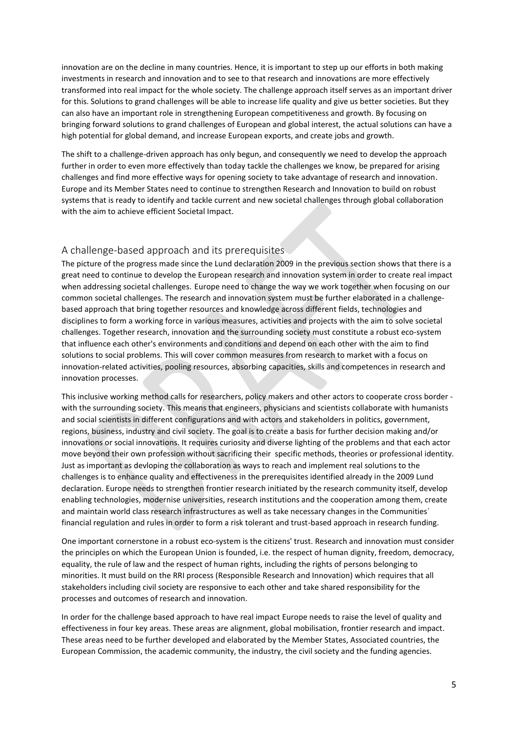innovation are on the decline in many countries. Hence, it is important to step up our efforts in both making investments in research and innovation and to see to that research and innovations are more effectively transformed into real impact for the whole society. The challenge approach itself serves as an important driver for this. Solutions to grand challenges will be able to increase life quality and give us better societies. But they can also have an important role in strengthening European competitiveness and growth. By focusing on bringing forward solutions to grand challenges of European and global interest, the actual solutions can have a high potential for global demand, and increase European exports, and create jobs and growth.

The shift to a challenge-driven approach has only begun, and consequently we need to develop the approach further in order to even more effectively than today tackle the challenges we know, be prepared for arising challenges and find more effective ways for opening society to take advantage of research and innovation. Europe and its Member States need to continue to strengthen Research and Innovation to build on robust systems that is ready to identify and tackle current and new societal challenges through global collaboration with the aim to achieve efficient Societal Impact.

# <span id="page-4-0"></span>A challenge-based approach and its prerequisites

The picture of the progress made since the Lund declaration 2009 in the previous section shows that there is a great need to continue to develop the European research and innovation system in order to create real impact when addressing societal challenges. Europe need to change the way we work together when focusing on our common societal challenges. The research and innovation system must be further elaborated in a challengebased approach that bring together resources and knowledge across different fields, technologies and disciplines to form a working force in various measures, activities and projects with the aim to solve societal challenges. Together research, innovation and the surrounding society must constitute a robust eco-system that influence each other's environments and conditions and depend on each other with the aim to find solutions to social problems. This will cover common measures from research to market with a focus on innovation-related activities, pooling resources, absorbing capacities, skills and competences in research and innovation processes.

This inclusive working method calls for researchers, policy makers and other actors to cooperate cross border with the surrounding society. This means that engineers, physicians and scientists collaborate with humanists and social scientists in different configurations and with actors and stakeholders in politics, government, regions, business, industry and civil society. The goal is to create a basis for further decision making and/or innovations or social innovations. It requires curiosity and diverse lighting of the problems and that each actor move beyond their own profession without sacrificing their specific methods, theories or professional identity. Just as important as devloping the collaboration as ways to reach and implement real solutions to the challenges is to enhance quality and effectiveness in the prerequisites identified already in the 2009 Lund declaration. Europe needs to strengthen frontier research initiated by the research community itself, develop enabling technologies, modernise universities, research institutions and the cooperation among them, create and maintain world class research infrastructures as well as take necessary changes in the Communities´ financial regulation and rules in order to form a risk tolerant and trust-based approach in research funding.

One important cornerstone in a robust eco-system is the citizens' trust. Research and innovation must consider the principles on which the European Union is founded, i.e. the respect of human dignity, freedom, democracy, equality, the rule of law and the respect of human rights, including the rights of persons belonging to minorities. It must build on the RRI process (Responsible Research and Innovation) which requires that all stakeholders including civil society are responsive to each other and take shared responsibility for the processes and outcomes of research and innovation.

In order for the challenge based approach to have real impact Europe needs to raise the level of quality and effectiveness in four key areas. These areas are alignment, global mobilisation, frontier research and impact. These areas need to be further developed and elaborated by the Member States, Associated countries, the European Commission, the academic community, the industry, the civil society and the funding agencies.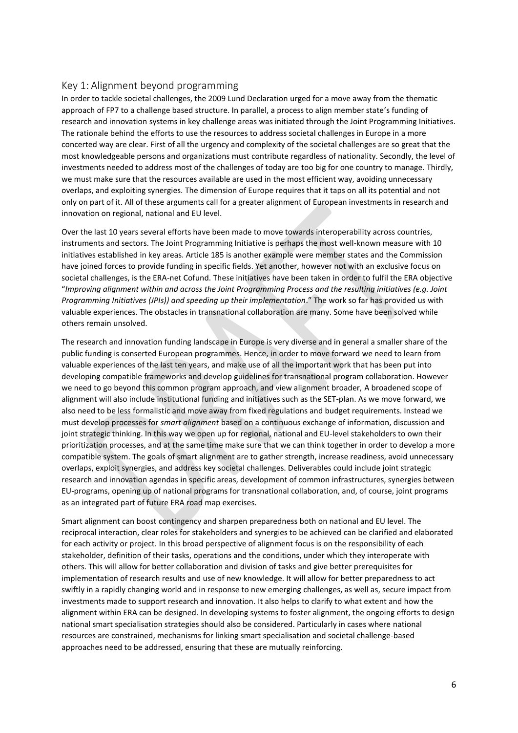# <span id="page-5-0"></span>Key 1: Alignment beyond programming

In order to tackle societal challenges, the 2009 Lund Declaration urged for a move away from the thematic approach of FP7 to a challenge based structure. In parallel, a process to align member state's funding of research and innovation systems in key challenge areas was initiated through the Joint Programming Initiatives. The rationale behind the efforts to use the resources to address societal challenges in Europe in a more concerted way are clear. First of all the urgency and complexity of the societal challenges are so great that the most knowledgeable persons and organizations must contribute regardless of nationality. Secondly, the level of investments needed to address most of the challenges of today are too big for one country to manage. Thirdly, we must make sure that the resources available are used in the most efficient way, avoiding unnecessary overlaps, and exploiting synergies. The dimension of Europe requires that it taps on all its potential and not only on part of it. All of these arguments call for a greater alignment of European investments in research and innovation on regional, national and EU level.

Over the last 10 years several efforts have been made to move towards interoperability across countries, instruments and sectors. The Joint Programming Initiative is perhaps the most well-known measure with 10 initiatives established in key areas. Article 185 is another example were member states and the Commission have joined forces to provide funding in specific fields. Yet another, however not with an exclusive focus on societal challenges, is the ERA-net Cofund. These initiatives have been taken in order to fulfil the ERA objective "*Improving alignment within and across the Joint Programming Process and the resulting initiatives (e.g. Joint Programming Initiatives (JPIs)) and speeding up their implementation*." The work so far has provided us with valuable experiences. The obstacles in transnational collaboration are many. Some have been solved while others remain unsolved.

The research and innovation funding landscape in Europe is very diverse and in general a smaller share of the public funding is conserted European programmes. Hence, in order to move forward we need to learn from valuable experiences of the last ten years, and make use of all the important work that has been put into developing compatible frameworks and develop guidelines for transnational program collaboration. However we need to go beyond this common program approach, and view alignment broader, A broadened scope of alignment will also include institutional funding and initiatives such as the SET-plan. As we move forward, we also need to be less formalistic and move away from fixed regulations and budget requirements. Instead we must develop processes for *smart alignment* based on a continuous exchange of information, discussion and joint strategic thinking. In this way we open up for regional, national and EU-level stakeholders to own their prioritization processes, and at the same time make sure that we can think together in order to develop a more compatible system. The goals of smart alignment are to gather strength, increase readiness, avoid unnecessary overlaps, exploit synergies, and address key societal challenges. Deliverables could include joint strategic research and innovation agendas in specific areas, development of common infrastructures, synergies between EU-programs, opening up of national programs for transnational collaboration, and, of course, joint programs as an integrated part of future ERA road map exercises.

Smart alignment can boost contingency and sharpen preparedness both on national and EU level. The reciprocal interaction, clear roles for stakeholders and synergies to be achieved can be clarified and elaborated for each activity or project. In this broad perspective of alignment focus is on the responsibility of each stakeholder, definition of their tasks, operations and the conditions, under which they interoperate with others. This will allow for better collaboration and division of tasks and give better prerequisites for implementation of research results and use of new knowledge. It will allow for better preparedness to act swiftly in a rapidly changing world and in response to new emerging challenges, as well as, secure impact from investments made to support research and innovation. It also helps to clarify to what extent and how the alignment within ERA can be designed. In developing systems to foster alignment, the ongoing efforts to design national smart specialisation strategies should also be considered. Particularly in cases where national resources are constrained, mechanisms for linking smart specialisation and societal challenge-based approaches need to be addressed, ensuring that these are mutually reinforcing.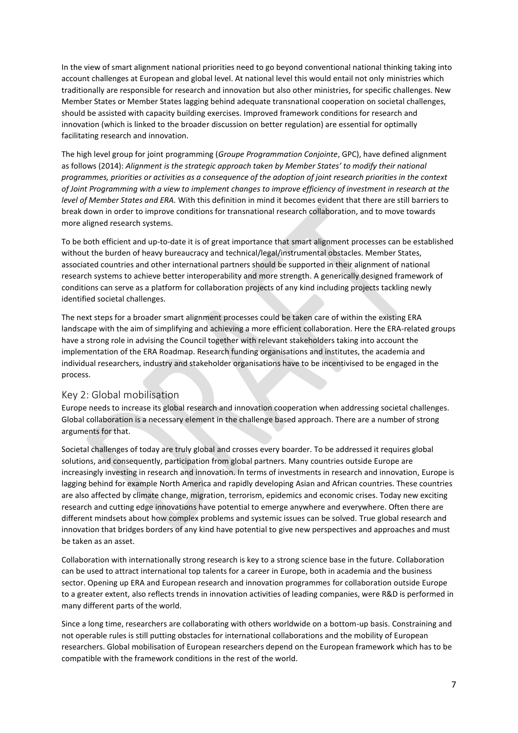In the view of smart alignment national priorities need to go beyond conventional national thinking taking into account challenges at European and global level. At national level this would entail not only ministries which traditionally are responsible for research and innovation but also other ministries, for specific challenges. New Member States or Member States lagging behind adequate transnational cooperation on societal challenges, should be assisted with capacity building exercises. Improved framework conditions for research and innovation (which is linked to the broader discussion on better regulation) are essential for optimally facilitating research and innovation.

The high level group for joint programming (*Groupe Programmation Conjointe*, GPC), have defined alignment as follows (2014): *Alignment is the strategic approach taken by Member States' to modify their national programmes, priorities or activities as a consequence of the adoption of joint research priorities in the context of Joint Programming with a view to implement changes to improve efficiency of investment in research at the level of Member States and ERA.* With this definition in mind it becomes evident that there are still barriers to break down in order to improve conditions for transnational research collaboration, and to move towards more aligned research systems.

To be both efficient and up-to-date it is of great importance that smart alignment processes can be established without the burden of heavy bureaucracy and technical/legal/instrumental obstacles. Member States, associated countries and other international partners should be supported in their alignment of national research systems to achieve better interoperability and more strength. A generically designed framework of conditions can serve as a platform for collaboration projects of any kind including projects tackling newly identified societal challenges.

The next steps for a broader smart alignment processes could be taken care of within the existing ERA landscape with the aim of simplifying and achieving a more efficient collaboration. Here the ERA-related groups have a strong role in advising the Council together with relevant stakeholders taking into account the implementation of the ERA Roadmap. Research funding organisations and institutes, the academia and individual researchers, industry and stakeholder organisations have to be incentivised to be engaged in the process.

## <span id="page-6-0"></span>Key 2: Global mobilisation

Europe needs to increase its global research and innovation cooperation when addressing societal challenges. Global collaboration is a necessary element in the challenge based approach. There are a number of strong arguments for that.

Societal challenges of today are truly global and crosses every boarder. To be addressed it requires global solutions, and consequently, participation from global partners. Many countries outside Europe are increasingly investing in research and innovation. In terms of investments in research and innovation, Europe is lagging behind for example North America and rapidly developing Asian and African countries. These countries are also affected by climate change, migration, terrorism, epidemics and economic crises. Today new exciting research and cutting edge innovations have potential to emerge anywhere and everywhere. Often there are different mindsets about how complex problems and systemic issues can be solved. True global research and innovation that bridges borders of any kind have potential to give new perspectives and approaches and must be taken as an asset.

Collaboration with internationally strong research is key to a strong science base in the future. Collaboration can be used to attract international top talents for a career in Europe, both in academia and the business sector. Opening up ERA and European research and innovation programmes for collaboration outside Europe to a greater extent, also reflects trends in innovation activities of leading companies, were R&D is performed in many different parts of the world.

Since a long time, researchers are collaborating with others worldwide on a bottom-up basis. Constraining and not operable rules is still putting obstacles for international collaborations and the mobility of European researchers. Global mobilisation of European researchers depend on the European framework which has to be compatible with the framework conditions in the rest of the world.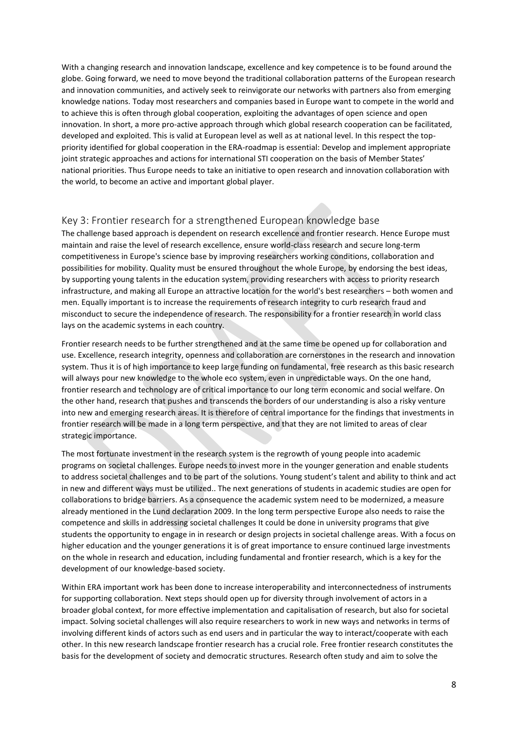With a changing research and innovation landscape, excellence and key competence is to be found around the globe. Going forward, we need to move beyond the traditional collaboration patterns of the European research and innovation communities, and actively seek to reinvigorate our networks with partners also from emerging knowledge nations. Today most researchers and companies based in Europe want to compete in the world and to achieve this is often through global cooperation, exploiting the advantages of open science and open innovation. In short, a more pro-active approach through which global research cooperation can be facilitated, developed and exploited. This is valid at European level as well as at national level. In this respect the toppriority identified for global cooperation in the ERA-roadmap is essential: Develop and implement appropriate joint strategic approaches and actions for international STI cooperation on the basis of Member States' national priorities. Thus Europe needs to take an initiative to open research and innovation collaboration with the world, to become an active and important global player.

# <span id="page-7-0"></span>Key 3: Frontier research for a strengthened European knowledge base

The challenge based approach is dependent on research excellence and frontier research. Hence Europe must maintain and raise the level of research excellence, ensure world-class research and secure long-term competitiveness in Europe's science base by improving researchers working conditions, collaboration and possibilities for mobility. Quality must be ensured throughout the whole Europe, by endorsing the best ideas, by supporting young talents in the education system, providing researchers with access to priority research infrastructure, and making all Europe an attractive location for the world's best researchers – both women and men. Equally important is to increase the requirements of research integrity to curb research fraud and misconduct to secure the independence of research. The responsibility for a frontier research in world class lays on the academic systems in each country.

Frontier research needs to be further strengthened and at the same time be opened up for collaboration and use. Excellence, research integrity, openness and collaboration are cornerstones in the research and innovation system. Thus it is of high importance to keep large funding on fundamental, free research as this basic research will always pour new knowledge to the whole eco system, even in unpredictable ways. On the one hand, frontier research and technology are of critical importance to our long term economic and social welfare. On the other hand, research that pushes and transcends the borders of our understanding is also a risky venture into new and emerging research areas. It is therefore of central importance for the findings that investments in frontier research will be made in a long term perspective, and that they are not limited to areas of clear strategic importance.

The most fortunate investment in the research system is the regrowth of young people into academic programs on societal challenges. Europe needs to invest more in the younger generation and enable students to address societal challenges and to be part of the solutions. Young student's talent and ability to think and act in new and different ways must be utilized.. The next generations of students in academic studies are open for collaborations to bridge barriers. As a consequence the academic system need to be modernized, a measure already mentioned in the Lund declaration 2009. In the long term perspective Europe also needs to raise the competence and skills in addressing societal challenges It could be done in university programs that give students the opportunity to engage in in research or design projects in societal challenge areas. With a focus on higher education and the younger generations it is of great importance to ensure continued large investments on the whole in research and education, including fundamental and frontier research, which is a key for the development of our knowledge-based society.

Within ERA important work has been done to increase interoperability and interconnectedness of instruments for supporting collaboration. Next steps should open up for diversity through involvement of actors in a broader global context, for more effective implementation and capitalisation of research, but also for societal impact. Solving societal challenges will also require researchers to work in new ways and networks in terms of involving different kinds of actors such as end users and in particular the way to interact/cooperate with each other. In this new research landscape frontier research has a crucial role. Free frontier research constitutes the basis for the development of society and democratic structures. Research often study and aim to solve the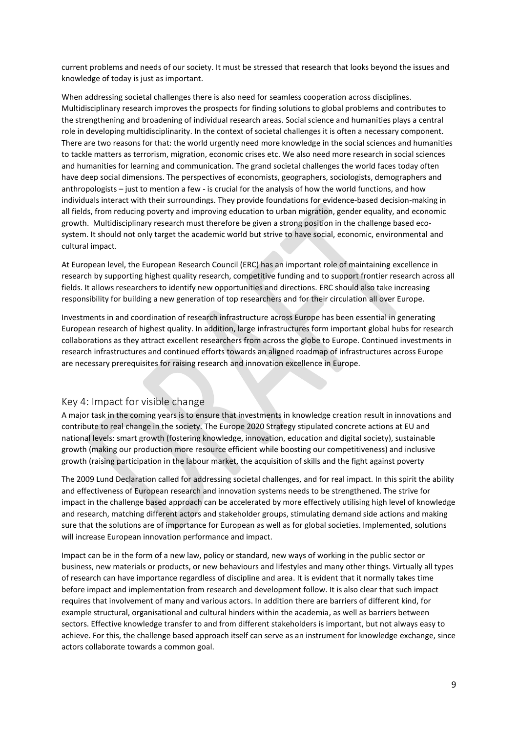current problems and needs of our society. It must be stressed that research that looks beyond the issues and knowledge of today is just as important.

When addressing societal challenges there is also need for seamless cooperation across disciplines. Multidisciplinary research improves the prospects for finding solutions to global problems and contributes to the strengthening and broadening of individual research areas. Social science and humanities plays a central role in developing multidisciplinarity. In the context of societal challenges it is often a necessary component. There are two reasons for that: the world urgently need more knowledge in the social sciences and humanities to tackle matters as terrorism, migration, economic crises etc. We also need more research in social sciences and humanities for learning and communication. The grand societal challenges the world faces today often have deep social dimensions. The perspectives of economists, geographers, sociologists, demographers and anthropologists – just to mention a few - is crucial for the analysis of how the world functions, and how individuals interact with their surroundings. They provide foundations for evidence-based decision-making in all fields, from reducing poverty and improving education to urban migration, gender equality, and economic growth. Multidisciplinary research must therefore be given a strong position in the challenge based ecosystem. It should not only target the academic world but strive to have social, economic, environmental and cultural impact.

At European level, the European Research Council (ERC) has an important role of maintaining excellence in research by supporting highest quality research, competitive funding and to support frontier research across all fields. It allows researchers to identify new opportunities and directions. ERC should also take increasing responsibility for building a new generation of top researchers and for their circulation all over Europe.

Investments in and coordination of research infrastructure across Europe has been essential in generating European research of highest quality. In addition, large infrastructures form important global hubs for research collaborations as they attract excellent researchers from across the globe to Europe. Continued investments in research infrastructures and continued efforts towards an aligned roadmap of infrastructures across Europe are necessary prerequisites for raising research and innovation excellence in Europe.

## <span id="page-8-0"></span>Key 4: Impact for visible change

A major task in the coming years is to ensure that investments in knowledge creation result in innovations and contribute to real change in the society. The Europe 2020 Strategy stipulated concrete actions at EU and national levels: smart growth (fostering knowledge, innovation, education and digital society), sustainable growth (making our production more resource efficient while boosting our competitiveness) and inclusive growth (raising participation in the labour market, the acquisition of skills and the fight against poverty

The 2009 Lund Declaration called for addressing societal challenges, and for real impact. In this spirit the ability and effectiveness of European research and innovation systems needs to be strengthened. The strive for impact in the challenge based approach can be accelerated by more effectively utilising high level of knowledge and research, matching different actors and stakeholder groups, stimulating demand side actions and making sure that the solutions are of importance for European as well as for global societies. Implemented, solutions will increase European innovation performance and impact.

Impact can be in the form of a new law, policy or standard, new ways of working in the public sector or business, new materials or products, or new behaviours and lifestyles and many other things. Virtually all types of research can have importance regardless of discipline and area. It is evident that it normally takes time before impact and implementation from research and development follow. It is also clear that such impact requires that involvement of many and various actors. In addition there are barriers of different kind, for example structural, organisational and cultural hinders within the academia, as well as barriers between sectors. Effective knowledge transfer to and from different stakeholders is important, but not always easy to achieve. For this, the challenge based approach itself can serve as an instrument for knowledge exchange, since actors collaborate towards a common goal.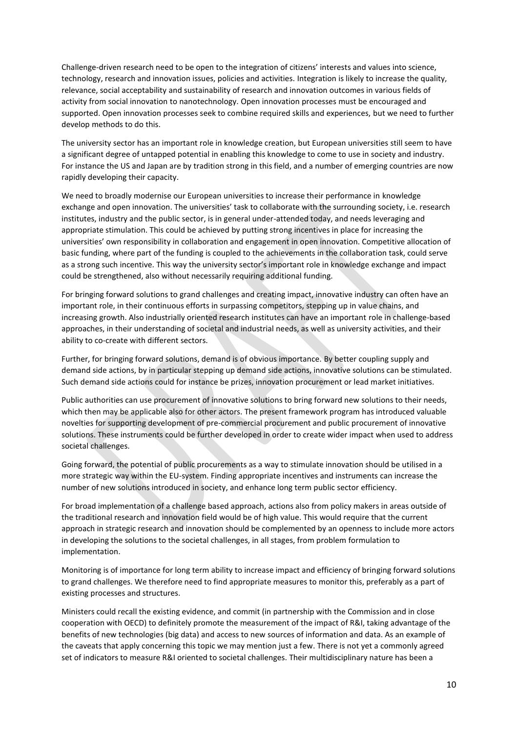Challenge-driven research need to be open to the integration of citizens' interests and values into science, technology, research and innovation issues, policies and activities. Integration is likely to increase the quality, relevance, social acceptability and sustainability of research and innovation outcomes in various fields of activity from social innovation to nanotechnology. Open innovation processes must be encouraged and supported. Open innovation processes seek to combine required skills and experiences, but we need to further develop methods to do this.

The university sector has an important role in knowledge creation, but European universities still seem to have a significant degree of untapped potential in enabling this knowledge to come to use in society and industry. For instance the US and Japan are by tradition strong in this field, and a number of emerging countries are now rapidly developing their capacity.

We need to broadly modernise our European universities to increase their performance in knowledge exchange and open innovation. The universities' task to collaborate with the surrounding society, i.e. research institutes, industry and the public sector, is in general under-attended today, and needs leveraging and appropriate stimulation. This could be achieved by putting strong incentives in place for increasing the universities' own responsibility in collaboration and engagement in open innovation. Competitive allocation of basic funding, where part of the funding is coupled to the achievements in the collaboration task, could serve as a strong such incentive. This way the university sector's important role in knowledge exchange and impact could be strengthened, also without necessarily requiring additional funding.

For bringing forward solutions to grand challenges and creating impact, innovative industry can often have an important role, in their continuous efforts in surpassing competitors, stepping up in value chains, and increasing growth. Also industrially oriented research institutes can have an important role in challenge-based approaches, in their understanding of societal and industrial needs, as well as university activities, and their ability to co-create with different sectors.

Further, for bringing forward solutions, demand is of obvious importance. By better coupling supply and demand side actions, by in particular stepping up demand side actions, innovative solutions can be stimulated. Such demand side actions could for instance be prizes, innovation procurement or lead market initiatives.

Public authorities can use procurement of innovative solutions to bring forward new solutions to their needs, which then may be applicable also for other actors. The present framework program has introduced valuable novelties for supporting development of pre-commercial procurement and public procurement of innovative solutions. These instruments could be further developed in order to create wider impact when used to address societal challenges.

Going forward, the potential of public procurements as a way to stimulate innovation should be utilised in a more strategic way within the EU-system. Finding appropriate incentives and instruments can increase the number of new solutions introduced in society, and enhance long term public sector efficiency.

For broad implementation of a challenge based approach, actions also from policy makers in areas outside of the traditional research and innovation field would be of high value. This would require that the current approach in strategic research and innovation should be complemented by an openness to include more actors in developing the solutions to the societal challenges, in all stages, from problem formulation to implementation.

Monitoring is of importance for long term ability to increase impact and efficiency of bringing forward solutions to grand challenges. We therefore need to find appropriate measures to monitor this, preferably as a part of existing processes and structures.

Ministers could recall the existing evidence, and commit (in partnership with the Commission and in close cooperation with OECD) to definitely promote the measurement of the impact of R&I, taking advantage of the benefits of new technologies (big data) and access to new sources of information and data. As an example of the caveats that apply concerning this topic we may mention just a few. There is not yet a commonly agreed set of indicators to measure R&I oriented to societal challenges. Their multidisciplinary nature has been a